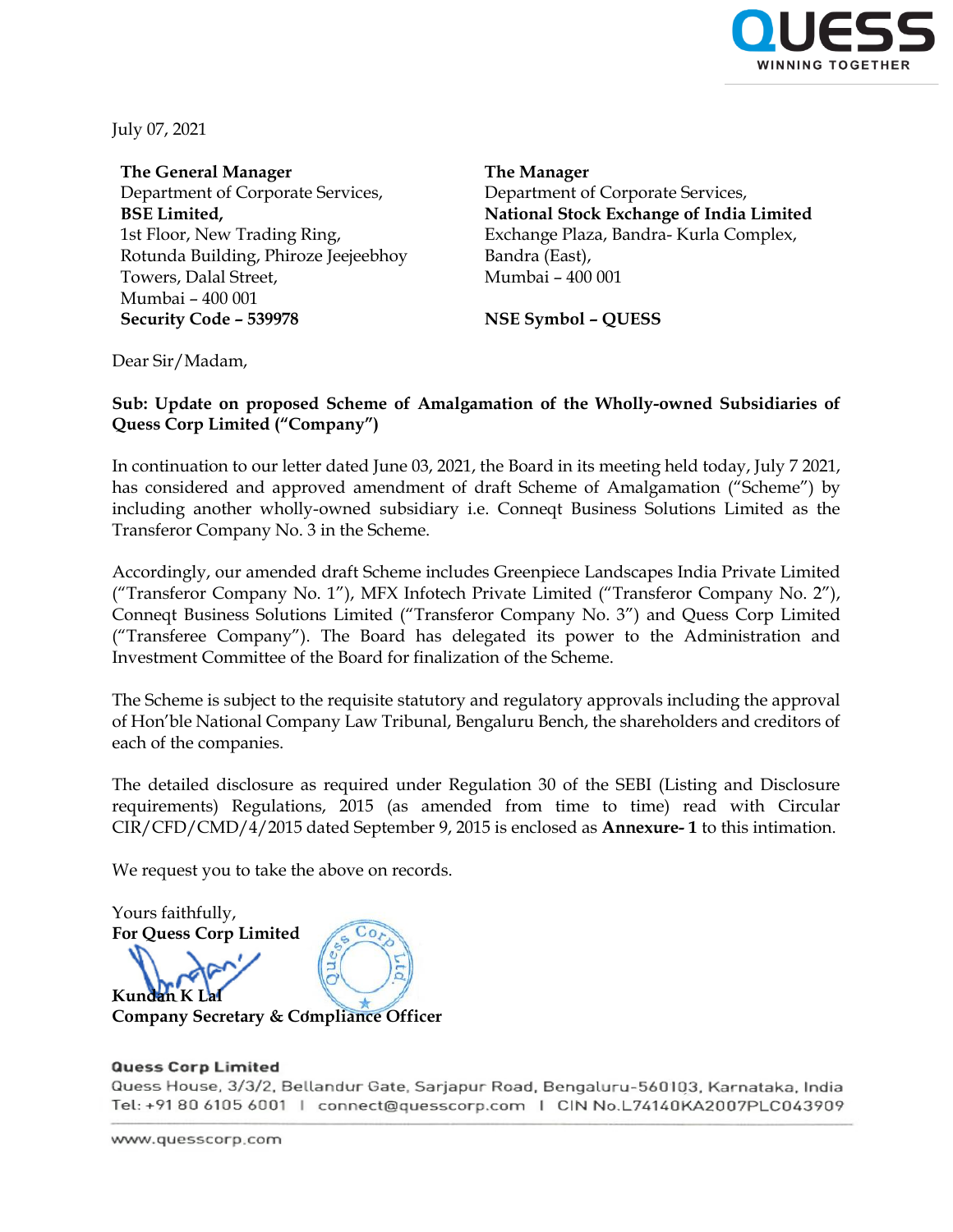

July 07, 2021

**The General Manager** Department of Corporate Services, **BSE Limited,** 1st Floor, New Trading Ring, Rotunda Building, Phiroze Jeejeebhoy Towers, Dalal Street, Mumbai – 400 001 **Security Code – 539978 NSE Symbol – QUESS**

**The Manager** Department of Corporate Services, **National Stock Exchange of India Limited** Exchange Plaza, Bandra- Kurla Complex, Bandra (East), Mumbai – 400 001

Dear Sir/Madam,

## **Sub: Update on proposed Scheme of Amalgamation of the Wholly-owned Subsidiaries of Quess Corp Limited ("Company")**

In continuation to our letter dated June 03, 2021, the Board in its meeting held today, July 7 2021, has considered and approved amendment of draft Scheme of Amalgamation ("Scheme") by including another wholly-owned subsidiary i.e. Conneqt Business Solutions Limited as the Transferor Company No. 3 in the Scheme.

Accordingly, our amended draft Scheme includes Greenpiece Landscapes India Private Limited ("Transferor Company No. 1"), MFX Infotech Private Limited ("Transferor Company No. 2"), Conneqt Business Solutions Limited ("Transferor Company No. 3") and Quess Corp Limited ("Transferee Company"). The Board has delegated its power to the Administration and Investment Committee of the Board for finalization of the Scheme.

The Scheme is subject to the requisite statutory and regulatory approvals including the approval of Hon'ble National Company Law Tribunal, Bengaluru Bench, the shareholders and creditors of each of the companies.

The detailed disclosure as required under Regulation 30 of the SEBI (Listing and Disclosure requirements) Regulations, 2015 (as amended from time to time) read with Circular CIR/CFD/CMD/4/2015 dated September 9, 2015 is enclosed as **Annexure- 1** to this intimation.

We request you to take the above on records.

Yours faithfully, **For Quess Corp Limited**   $Co$ **Kundan K Lal Company Secretary & Compliance Officer** 

#### **Quess Corp Limited**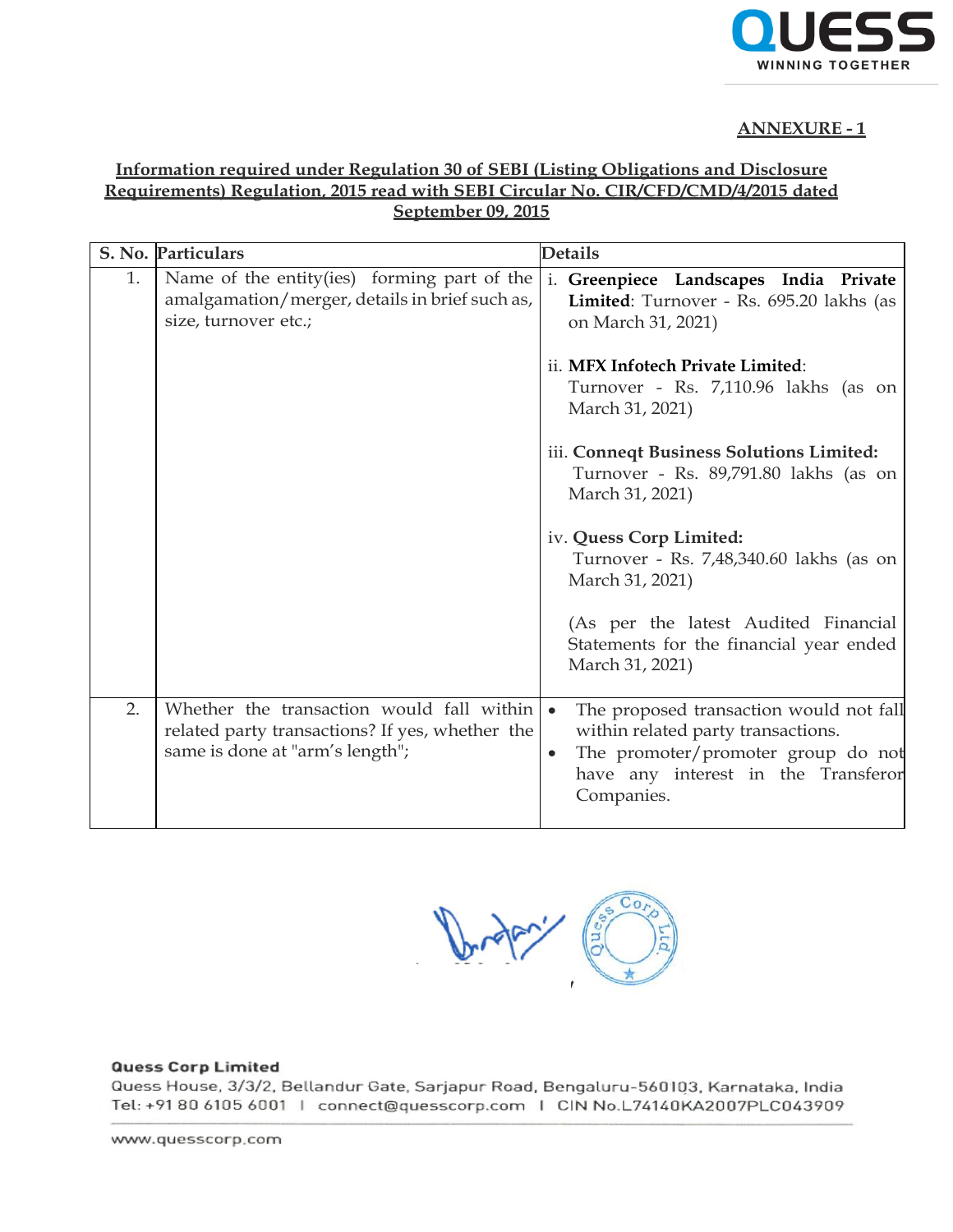

# **ANNEXURE - 1**

## **Information required under Regulation 30 of SEBI (Listing Obligations and Disclosure Requirements) Regulation, 2015 read with SEBI Circular No. CIR/CFD/CMD/4/2015 dated September 09, 2015**

|    | S. No. Particulars                                                                                                              | <b>Details</b>                                                                                                                                                                                     |
|----|---------------------------------------------------------------------------------------------------------------------------------|----------------------------------------------------------------------------------------------------------------------------------------------------------------------------------------------------|
| 1. | Name of the entity(ies) forming part of the<br>amalgamation/merger, details in brief such as,<br>size, turnover etc.;           | i. Greenpiece Landscapes India Private<br>Limited: Turnover - Rs. 695.20 lakhs (as<br>on March 31, 2021)                                                                                           |
|    |                                                                                                                                 | ii. MFX Infotech Private Limited:<br>Turnover - Rs. 7,110.96 lakhs (as on<br>March 31, 2021)                                                                                                       |
|    |                                                                                                                                 | iii. Conneqt Business Solutions Limited:<br>Turnover - Rs. 89,791.80 lakhs (as on<br>March 31, 2021)                                                                                               |
|    |                                                                                                                                 | iv. Quess Corp Limited:<br>Turnover - Rs. 7,48,340.60 lakhs (as on<br>March 31, 2021)                                                                                                              |
|    |                                                                                                                                 | (As per the latest Audited Financial<br>Statements for the financial year ended<br>March 31, 2021)                                                                                                 |
| 2. | Whether the transaction would fall within<br>related party transactions? If yes, whether the<br>same is done at "arm's length"; | The proposed transaction would not fall<br>$\bullet$<br>within related party transactions.<br>The promoter/promoter group do not<br>$\bullet$<br>have any interest in the Transferor<br>Companies. |

#### **Quess Corp Limited**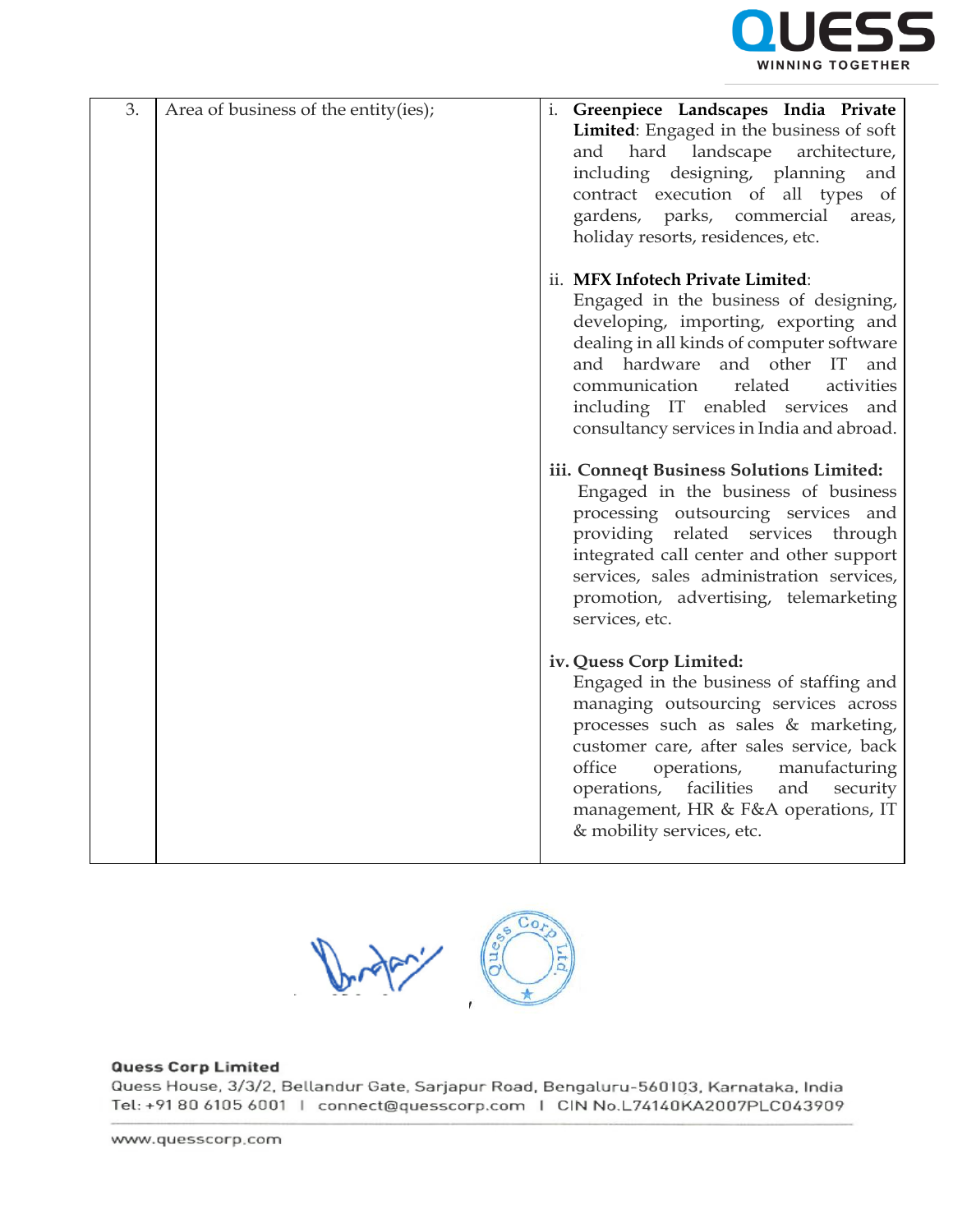

| 3. | Area of business of the entity(ies); | i. Greenpiece Landscapes India Private<br>Limited: Engaged in the business of soft<br>landscape<br>hard<br>architecture,<br>and<br>including designing, planning<br>and<br>contract execution of all types of<br>gardens, parks, commercial<br>areas,<br>holiday resorts, residences, etc.                                                                |
|----|--------------------------------------|-----------------------------------------------------------------------------------------------------------------------------------------------------------------------------------------------------------------------------------------------------------------------------------------------------------------------------------------------------------|
|    |                                      | ii. MFX Infotech Private Limited:<br>Engaged in the business of designing,<br>developing, importing, exporting and<br>dealing in all kinds of computer software<br>and hardware and other IT<br>and<br>communication<br>related<br>activities<br>including IT enabled services and<br>consultancy services in India and abroad.                           |
|    |                                      | iii. Conneqt Business Solutions Limited:<br>Engaged in the business of business<br>processing outsourcing services and<br>providing related services through<br>integrated call center and other support<br>services, sales administration services,<br>promotion, advertising, telemarketing<br>services, etc.                                           |
|    |                                      | iv. Quess Corp Limited:<br>Engaged in the business of staffing and<br>managing outsourcing services across<br>processes such as sales & marketing,<br>customer care, after sales service, back<br>office<br>operations,<br>manufacturing<br>operations, facilities<br>and<br>security<br>management, HR & F&A operations, IT<br>& mobility services, etc. |



## **Quess Corp Limited**